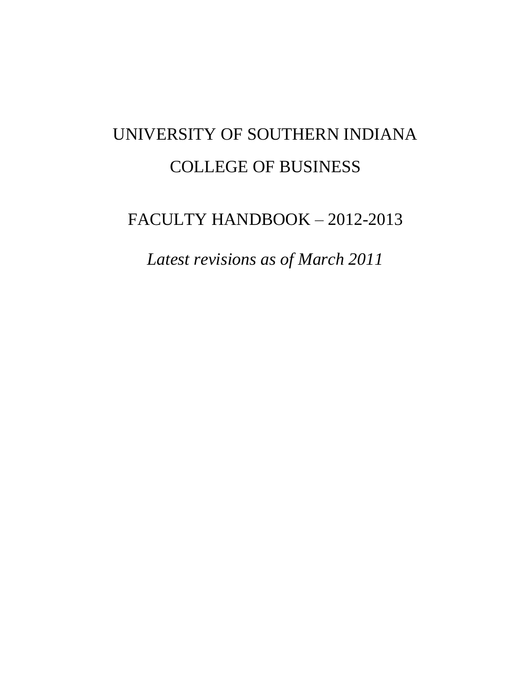# UNIVERSITY OF SOUTHERN INDIANA COLLEGE OF BUSINESS

# FACULTY HANDBOOK – 2012-2013

*Latest revisions as of March 2011*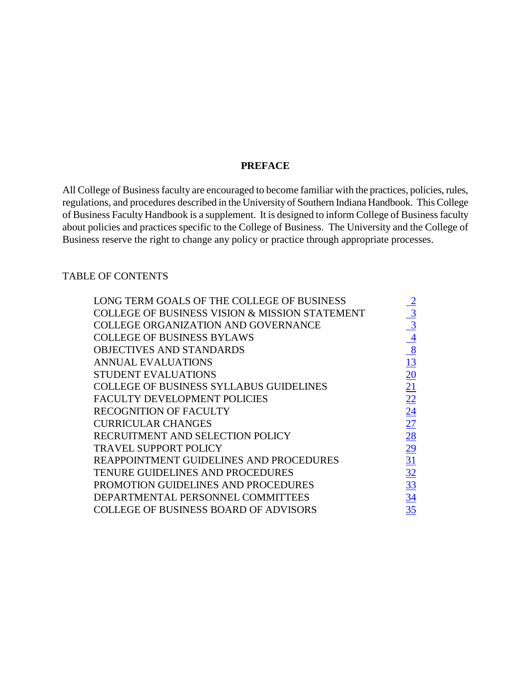#### **PREFACE**

All College of Business faculty are encouraged to become familiar with the practices, policies, rules, regulations, and procedures described in the University of Southern Indiana Handbook. This College of Business Faculty Handbook is a supplement. It is designed to inform College of Business faculty about policies and practices specific to the College of Business. The University and the College of Business reserve the right to change any policy or practice through appropriate processes.

#### <span id="page-1-0"></span>TABLE OF CONTENTS

| LONG TERM GOALS OF THE COLLEGE OF BUSINESS                |                 |
|-----------------------------------------------------------|-----------------|
| <b>COLLEGE OF BUSINESS VISION &amp; MISSION STATEMENT</b> | $\frac{3}{2}$   |
| <b>COLLEGE ORGANIZATION AND GOVERNANCE</b>                | $\overline{3}$  |
| <b>COLLEGE OF BUSINESS BYLAWS</b>                         |                 |
| <b>OBJECTIVES AND STANDARDS</b>                           | $\frac{4}{8}$   |
| ANNUAL EVALUATIONS                                        | <u>13</u>       |
| <b>STUDENT EVALUATIONS</b>                                | 20              |
| <b>COLLEGE OF BUSINESS SYLLABUS GUIDELINES</b>            | 21              |
| <b>FACULTY DEVELOPMENT POLICIES</b>                       | $\overline{22}$ |
| <b>RECOGNITION OF FACULTY</b>                             | 24              |
| <b>CURRICULAR CHANGES</b>                                 | 27              |
| RECRUITMENT AND SELECTION POLICY                          | 28              |
| <b>TRAVEL SUPPORT POLICY</b>                              | $\overline{29}$ |
| REAPPOINTMENT GUIDELINES AND PROCEDURES                   | 31              |
| TENURE GUIDELINES AND PROCEDURES                          | 32              |
| PROMOTION GUIDELINES AND PROCEDURES                       | 33              |
| DEPARTMENTAL PERSONNEL COMMITTEES                         | 34              |
| <b>COLLEGE OF BUSINESS BOARD OF ADVISORS</b>              | 35              |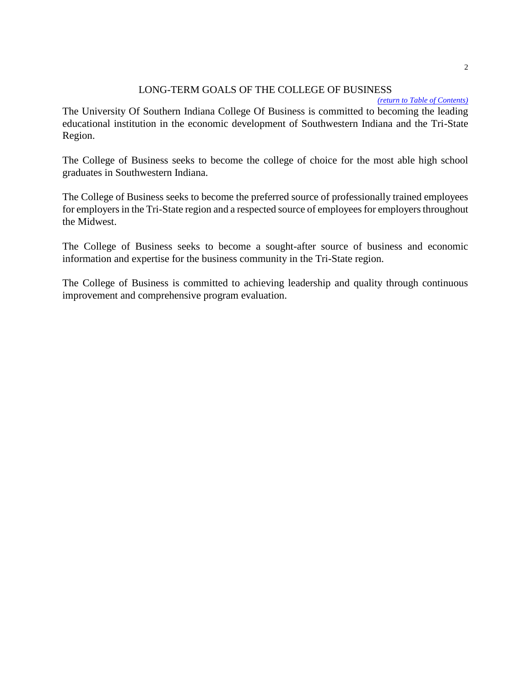#### <span id="page-2-0"></span>LONG-TERM GOALS OF THE COLLEGE OF BUSINESS

*[\(return to Table of Contents\)](#page-1-0)*

The University Of Southern Indiana College Of Business is committed to becoming the leading educational institution in the economic development of Southwestern Indiana and the Tri-State Region.

The College of Business seeks to become the college of choice for the most able high school graduates in Southwestern Indiana.

The College of Business seeks to become the preferred source of professionally trained employees for employers in the Tri-State region and a respected source of employees for employers throughout the Midwest.

The College of Business seeks to become a sought-after source of business and economic information and expertise for the business community in the Tri-State region.

The College of Business is committed to achieving leadership and quality through continuous improvement and comprehensive program evaluation.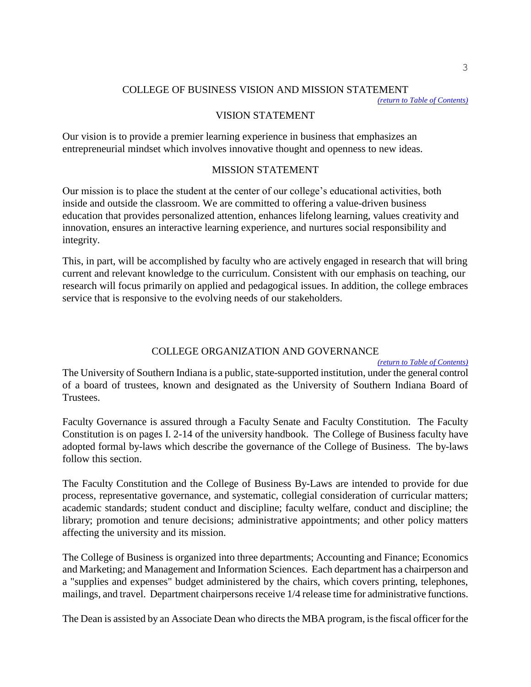#### <span id="page-3-0"></span>COLLEGE OF BUSINESS VISION AND MISSION STATEMENT

*[\(return to Table of Contents\)](#page-1-0)*

#### VISION STATEMENT

Our vision is to provide a premier learning experience in business that emphasizes an entrepreneurial mindset which involves innovative thought and openness to new ideas.

#### MISSION STATEMENT

Our mission is to place the student at the center of our college's educational activities, both inside and outside the classroom. We are committed to offering a value-driven business education that provides personalized attention, enhances lifelong learning, values creativity and innovation, ensures an interactive learning experience, and nurtures social responsibility and integrity.

This, in part, will be accomplished by faculty who are actively engaged in research that will bring current and relevant knowledge to the curriculum. Consistent with our emphasis on teaching, our research will focus primarily on applied and pedagogical issues. In addition, the college embraces service that is responsive to the evolving needs of our stakeholders.

#### <span id="page-3-1"></span>COLLEGE ORGANIZATION AND GOVERNANCE

*[\(return to Table of Contents\)](#page-1-0)*

The University of Southern Indiana is a public, state-supported institution, under the general control of a board of trustees, known and designated as the University of Southern Indiana Board of Trustees.

Faculty Governance is assured through a Faculty Senate and Faculty Constitution. The Faculty Constitution is on pages I. 2-14 of the university handbook. The College of Business faculty have adopted formal by-laws which describe the governance of the College of Business. The by-laws follow this section.

The Faculty Constitution and the College of Business By-Laws are intended to provide for due process, representative governance, and systematic, collegial consideration of curricular matters; academic standards; student conduct and discipline; faculty welfare, conduct and discipline; the library; promotion and tenure decisions; administrative appointments; and other policy matters affecting the university and its mission.

The College of Business is organized into three departments; Accounting and Finance; Economics and Marketing; and Management and Information Sciences. Each department has a chairperson and a "supplies and expenses" budget administered by the chairs, which covers printing, telephones, mailings, and travel. Department chairpersons receive 1/4 release time for administrative functions.

The Dean is assisted by an Associate Dean who directs the MBA program, is the fiscal officer for the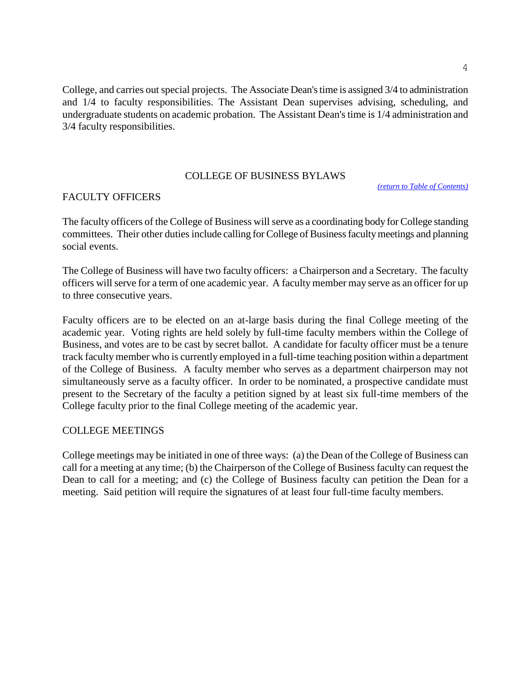College, and carries out special projects. The Associate Dean's time is assigned 3/4 to administration and 1/4 to faculty responsibilities. The Assistant Dean supervises advising, scheduling, and undergraduate students on academic probation. The Assistant Dean's time is 1/4 administration and 3/4 faculty responsibilities.

#### <span id="page-4-0"></span>COLLEGE OF BUSINESS BYLAWS

*[\(return to Table of Contents\)](#page-1-0)*

#### FACULTY OFFICERS

The faculty officers of the College of Business will serve as a coordinating body for College standing committees. Their other duties include calling for College of Business faculty meetings and planning social events.

The College of Business will have two faculty officers: a Chairperson and a Secretary. The faculty officers will serve for a term of one academic year. A faculty member may serve as an officer for up to three consecutive years.

Faculty officers are to be elected on an at-large basis during the final College meeting of the academic year. Voting rights are held solely by full-time faculty members within the College of Business, and votes are to be cast by secret ballot. A candidate for faculty officer must be a tenure track faculty member who is currently employed in a full-time teaching position within a department of the College of Business. A faculty member who serves as a department chairperson may not simultaneously serve as a faculty officer. In order to be nominated, a prospective candidate must present to the Secretary of the faculty a petition signed by at least six full-time members of the College faculty prior to the final College meeting of the academic year.

#### COLLEGE MEETINGS

College meetings may be initiated in one of three ways: (a) the Dean of the College of Business can call for a meeting at any time; (b) the Chairperson of the College of Business faculty can request the Dean to call for a meeting; and (c) the College of Business faculty can petition the Dean for a meeting. Said petition will require the signatures of at least four full-time faculty members.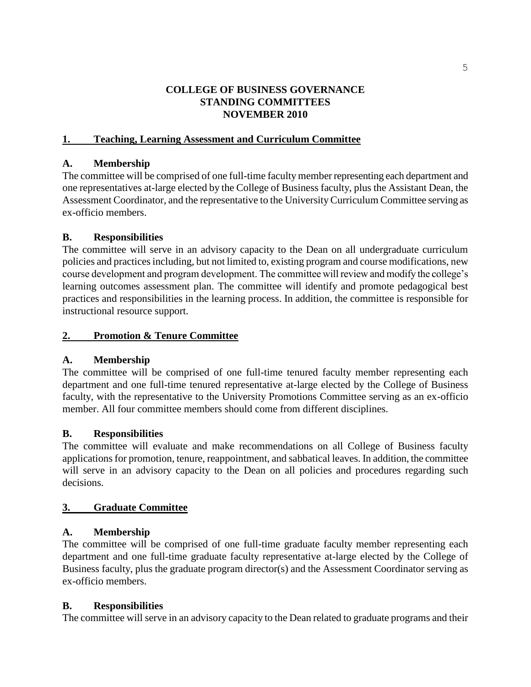#### **COLLEGE OF BUSINESS GOVERNANCE STANDING COMMITTEES NOVEMBER 2010**

# **1. Teaching, Learning Assessment and Curriculum Committee**

#### **A. Membership**

The committee will be comprised of one full-time faculty member representing each department and one representatives at-large elected by the College of Business faculty, plus the Assistant Dean, the Assessment Coordinator, and the representative to the University Curriculum Committee serving as ex-officio members.

#### **B. Responsibilities**

The committee will serve in an advisory capacity to the Dean on all undergraduate curriculum policies and practices including, but not limited to, existing program and course modifications, new course development and program development. The committee will review and modify the college's learning outcomes assessment plan. The committee will identify and promote pedagogical best practices and responsibilities in the learning process. In addition, the committee is responsible for instructional resource support.

#### **2. Promotion & Tenure Committee**

# **A. Membership**

The committee will be comprised of one full-time tenured faculty member representing each department and one full-time tenured representative at-large elected by the College of Business faculty, with the representative to the University Promotions Committee serving as an ex-officio member. All four committee members should come from different disciplines.

# **B. Responsibilities**

The committee will evaluate and make recommendations on all College of Business faculty applications for promotion, tenure, reappointment, and sabbatical leaves. In addition, the committee will serve in an advisory capacity to the Dean on all policies and procedures regarding such decisions.

# **3. Graduate Committee**

# **A. Membership**

The committee will be comprised of one full-time graduate faculty member representing each department and one full-time graduate faculty representative at-large elected by the College of Business faculty, plus the graduate program director(s) and the Assessment Coordinator serving as ex-officio members.

# **B. Responsibilities**

The committee will serve in an advisory capacity to the Dean related to graduate programs and their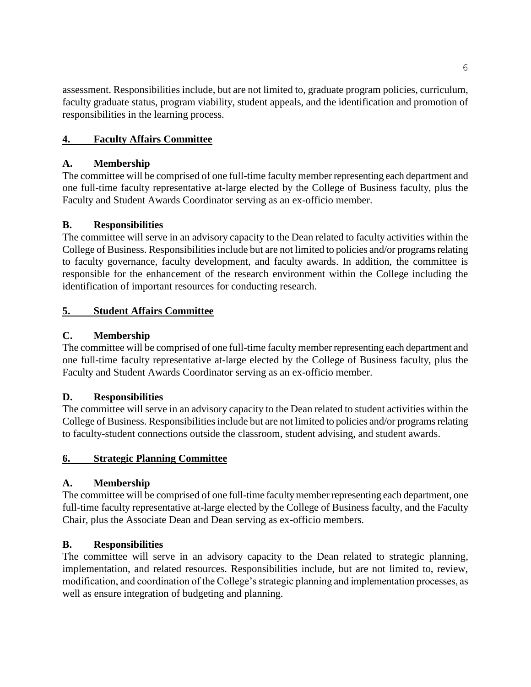assessment. Responsibilities include, but are not limited to, graduate program policies, curriculum, faculty graduate status, program viability, student appeals, and the identification and promotion of responsibilities in the learning process.

# **4. Faculty Affairs Committee**

# **A. Membership**

The committee will be comprised of one full-time faculty member representing each department and one full-time faculty representative at-large elected by the College of Business faculty, plus the Faculty and Student Awards Coordinator serving as an ex-officio member.

# **B. Responsibilities**

The committee will serve in an advisory capacity to the Dean related to faculty activities within the College of Business. Responsibilities include but are not limited to policies and/or programs relating to faculty governance, faculty development, and faculty awards. In addition, the committee is responsible for the enhancement of the research environment within the College including the identification of important resources for conducting research.

# **5. Student Affairs Committee**

# **C. Membership**

The committee will be comprised of one full-time faculty member representing each department and one full-time faculty representative at-large elected by the College of Business faculty, plus the Faculty and Student Awards Coordinator serving as an ex-officio member.

# **D. Responsibilities**

The committee will serve in an advisory capacity to the Dean related to student activities within the College of Business. Responsibilities include but are not limited to policies and/or programs relating to faculty-student connections outside the classroom, student advising, and student awards.

# **6. Strategic Planning Committee**

# **A. Membership**

The committee will be comprised of one full-time faculty member representing each department, one full-time faculty representative at-large elected by the College of Business faculty, and the Faculty Chair, plus the Associate Dean and Dean serving as ex-officio members.

# **B. Responsibilities**

The committee will serve in an advisory capacity to the Dean related to strategic planning, implementation, and related resources. Responsibilities include, but are not limited to, review, modification, and coordination of the College's strategic planning and implementation processes, as well as ensure integration of budgeting and planning.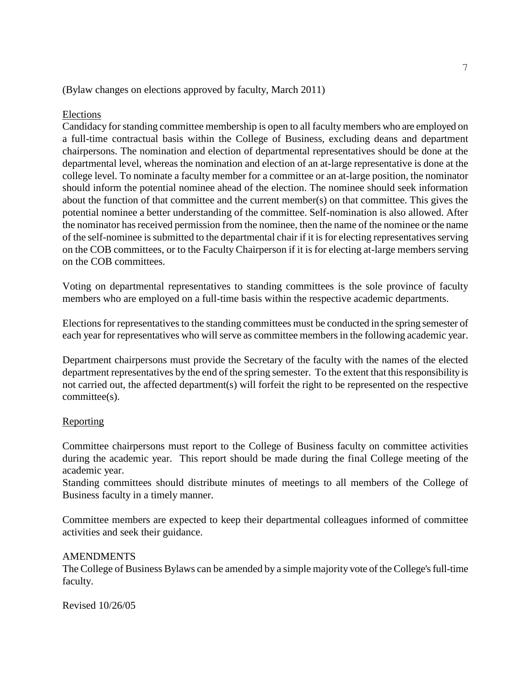#### (Bylaw changes on elections approved by faculty, March 2011)

#### Elections

Candidacy for standing committee membership is open to all faculty members who are employed on a full-time contractual basis within the College of Business, excluding deans and department chairpersons. The nomination and election of departmental representatives should be done at the departmental level, whereas the nomination and election of an at-large representative is done at the college level. To nominate a faculty member for a committee or an at-large position, the nominator should inform the potential nominee ahead of the election. The nominee should seek information about the function of that committee and the current member(s) on that committee. This gives the potential nominee a better understanding of the committee. Self-nomination is also allowed. After the nominator has received permission from the nominee, then the name of the nominee or the name of the self-nominee is submitted to the departmental chair if it is for electing representatives serving on the COB committees, or to the Faculty Chairperson if it is for electing at-large members serving on the COB committees.

Voting on departmental representatives to standing committees is the sole province of faculty members who are employed on a full-time basis within the respective academic departments.

Elections for representatives to the standing committees must be conducted in the spring semester of each year for representatives who will serve as committee members in the following academic year.

Department chairpersons must provide the Secretary of the faculty with the names of the elected department representatives by the end of the spring semester. To the extent that this responsibility is not carried out, the affected department(s) will forfeit the right to be represented on the respective committee(s).

#### **Reporting**

Committee chairpersons must report to the College of Business faculty on committee activities during the academic year. This report should be made during the final College meeting of the academic year.

Standing committees should distribute minutes of meetings to all members of the College of Business faculty in a timely manner.

Committee members are expected to keep their departmental colleagues informed of committee activities and seek their guidance.

#### AMENDMENTS

The College of Business Bylaws can be amended by a simple majority vote of the College's full-time faculty.

<span id="page-7-0"></span>Revised 10/26/05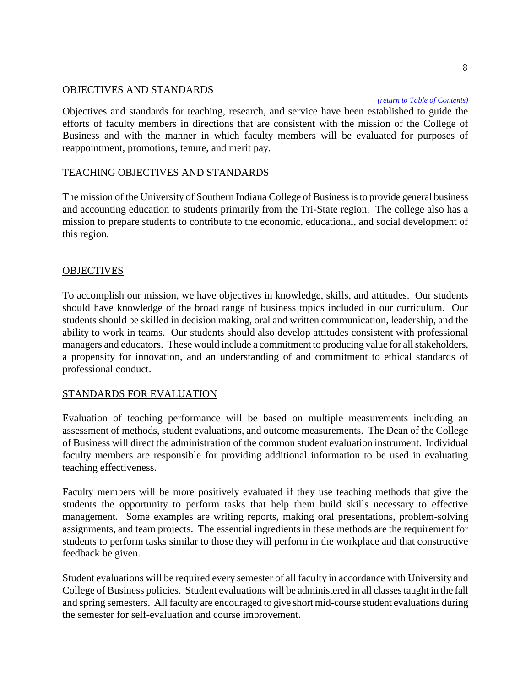#### OBJECTIVES AND STANDARDS

#### *[\(return to Table of](#page-1-0) Contents)*

Objectives and standards for teaching, research, and service have been established to guide the efforts of faculty members in directions that are consistent with the mission of the College of Business and with the manner in which faculty members will be evaluated for purposes of reappointment, promotions, tenure, and merit pay.

#### TEACHING OBJECTIVES AND STANDARDS

The mission of the University of Southern Indiana College of Business is to provide general business and accounting education to students primarily from the Tri-State region. The college also has a mission to prepare students to contribute to the economic, educational, and social development of this region.

#### **OBJECTIVES**

To accomplish our mission, we have objectives in knowledge, skills, and attitudes. Our students should have knowledge of the broad range of business topics included in our curriculum. Our students should be skilled in decision making, oral and written communication, leadership, and the ability to work in teams. Our students should also develop attitudes consistent with professional managers and educators. These would include a commitment to producing value for all stakeholders, a propensity for innovation, and an understanding of and commitment to ethical standards of professional conduct.

#### STANDARDS FOR EVALUATION

Evaluation of teaching performance will be based on multiple measurements including an assessment of methods, student evaluations, and outcome measurements. The Dean of the College of Business will direct the administration of the common student evaluation instrument. Individual faculty members are responsible for providing additional information to be used in evaluating teaching effectiveness.

Faculty members will be more positively evaluated if they use teaching methods that give the students the opportunity to perform tasks that help them build skills necessary to effective management. Some examples are writing reports, making oral presentations, problem-solving assignments, and team projects. The essential ingredients in these methods are the requirement for students to perform tasks similar to those they will perform in the workplace and that constructive feedback be given.

Student evaluations will be required every semester of all faculty in accordance with University and College of Business policies. Student evaluations will be administered in all classes taught in the fall and spring semesters. All faculty are encouraged to give short mid-course student evaluations during the semester for self-evaluation and course improvement.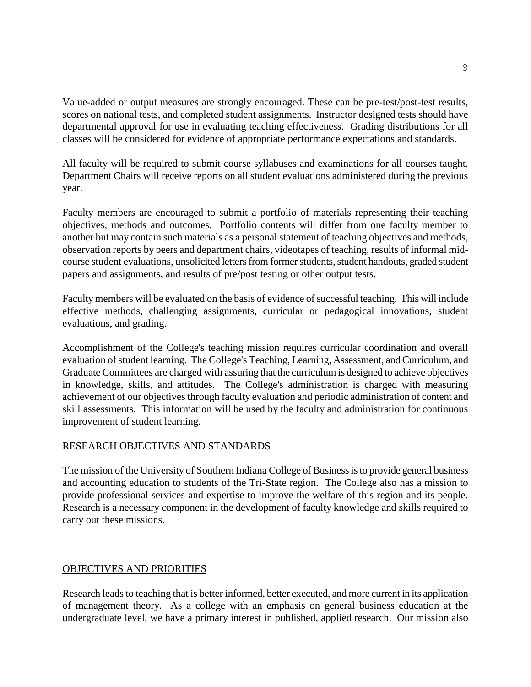Value-added or output measures are strongly encouraged. These can be pre-test/post-test results, scores on national tests, and completed student assignments. Instructor designed tests should have departmental approval for use in evaluating teaching effectiveness. Grading distributions for all classes will be considered for evidence of appropriate performance expectations and standards.

All faculty will be required to submit course syllabuses and examinations for all courses taught. Department Chairs will receive reports on all student evaluations administered during the previous year.

Faculty members are encouraged to submit a portfolio of materials representing their teaching objectives, methods and outcomes. Portfolio contents will differ from one faculty member to another but may contain such materials as a personal statement of teaching objectives and methods, observation reports by peers and department chairs, videotapes of teaching, results of informal midcourse student evaluations, unsolicited letters from former students, student handouts, graded student papers and assignments, and results of pre/post testing or other output tests.

Faculty members will be evaluated on the basis of evidence of successful teaching. This will include effective methods, challenging assignments, curricular or pedagogical innovations, student evaluations, and grading.

Accomplishment of the College's teaching mission requires curricular coordination and overall evaluation of student learning. The College's Teaching, Learning, Assessment, and Curriculum, and Graduate Committees are charged with assuring that the curriculum is designed to achieve objectives in knowledge, skills, and attitudes. The College's administration is charged with measuring achievement of our objectives through faculty evaluation and periodic administration of content and skill assessments. This information will be used by the faculty and administration for continuous improvement of student learning.

# RESEARCH OBJECTIVES AND STANDARDS

The mission of the University of Southern Indiana College of Business is to provide general business and accounting education to students of the Tri-State region. The College also has a mission to provide professional services and expertise to improve the welfare of this region and its people. Research is a necessary component in the development of faculty knowledge and skills required to carry out these missions.

#### OBJECTIVES AND PRIORITIES

Research leads to teaching that is better informed, better executed, and more current in its application of management theory. As a college with an emphasis on general business education at the undergraduate level, we have a primary interest in published, applied research. Our mission also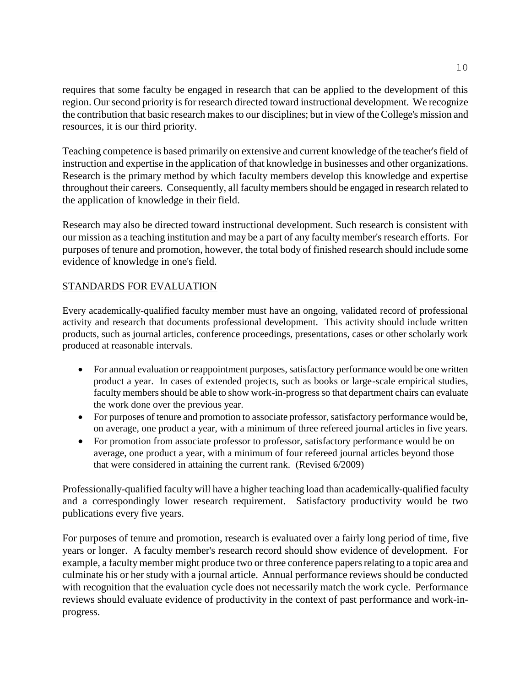requires that some faculty be engaged in research that can be applied to the development of this region. Our second priority is for research directed toward instructional development. We recognize the contribution that basic research makes to our disciplines; but in view of the College's mission and resources, it is our third priority.

Teaching competence is based primarily on extensive and current knowledge of the teacher's field of instruction and expertise in the application of that knowledge in businesses and other organizations. Research is the primary method by which faculty members develop this knowledge and expertise throughout their careers. Consequently, all faculty members should be engaged in research related to the application of knowledge in their field.

Research may also be directed toward instructional development. Such research is consistent with our mission as a teaching institution and may be a part of any faculty member's research efforts. For purposes of tenure and promotion, however, the total body of finished research should include some evidence of knowledge in one's field.

# STANDARDS FOR EVALUATION

Every academically-qualified faculty member must have an ongoing, validated record of professional activity and research that documents professional development. This activity should include written products, such as journal articles, conference proceedings, presentations, cases or other scholarly work produced at reasonable intervals.

- For annual evaluation or reappointment purposes, satisfactory performance would be one written product a year. In cases of extended projects, such as books or large-scale empirical studies, faculty members should be able to show work-in-progress so that department chairs can evaluate the work done over the previous year.
- For purposes of tenure and promotion to associate professor, satisfactory performance would be, on average, one product a year, with a minimum of three refereed journal articles in five years.
- For promotion from associate professor to professor, satisfactory performance would be on average, one product a year, with a minimum of four refereed journal articles beyond those that were considered in attaining the current rank. (Revised 6/2009)

Professionally-qualified faculty will have a higher teaching load than academically-qualified faculty and a correspondingly lower research requirement. Satisfactory productivity would be two publications every five years.

For purposes of tenure and promotion, research is evaluated over a fairly long period of time, five years or longer. A faculty member's research record should show evidence of development. For example, a faculty member might produce two or three conference papers relating to a topic area and culminate his or her study with a journal article. Annual performance reviews should be conducted with recognition that the evaluation cycle does not necessarily match the work cycle. Performance reviews should evaluate evidence of productivity in the context of past performance and work-inprogress.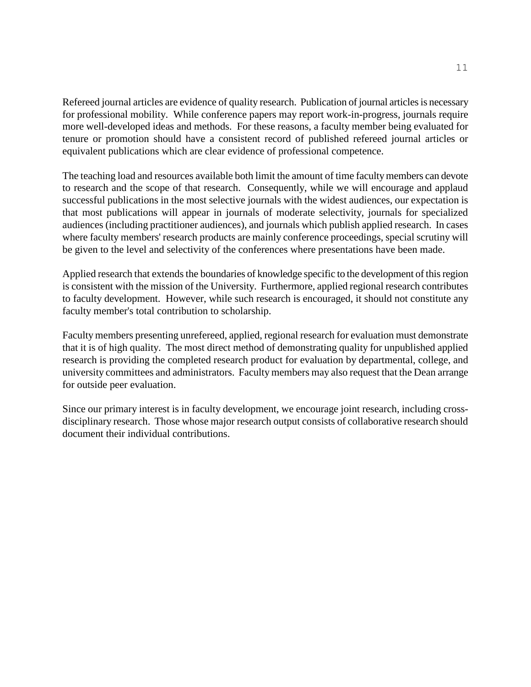Refereed journal articles are evidence of quality research. Publication of journal articles is necessary for professional mobility. While conference papers may report work-in-progress, journals require more well-developed ideas and methods. For these reasons, a faculty member being evaluated for tenure or promotion should have a consistent record of published refereed journal articles or equivalent publications which are clear evidence of professional competence.

The teaching load and resources available both limit the amount of time faculty members can devote to research and the scope of that research. Consequently, while we will encourage and applaud successful publications in the most selective journals with the widest audiences, our expectation is that most publications will appear in journals of moderate selectivity, journals for specialized audiences (including practitioner audiences), and journals which publish applied research. In cases where faculty members' research products are mainly conference proceedings, special scrutiny will be given to the level and selectivity of the conferences where presentations have been made.

Applied research that extends the boundaries of knowledge specific to the development of this region is consistent with the mission of the University. Furthermore, applied regional research contributes to faculty development. However, while such research is encouraged, it should not constitute any faculty member's total contribution to scholarship.

Faculty members presenting unrefereed, applied, regional research for evaluation must demonstrate that it is of high quality. The most direct method of demonstrating quality for unpublished applied research is providing the completed research product for evaluation by departmental, college, and university committees and administrators. Faculty members may also request that the Dean arrange for outside peer evaluation.

Since our primary interest is in faculty development, we encourage joint research, including crossdisciplinary research. Those whose major research output consists of collaborative research should document their individual contributions.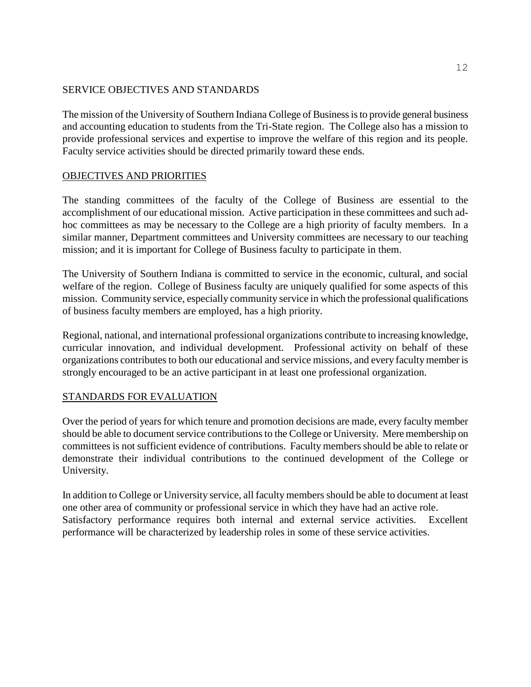#### SERVICE OBJECTIVES AND STANDARDS

The mission of the University of Southern Indiana College of Business is to provide general business and accounting education to students from the Tri-State region. The College also has a mission to provide professional services and expertise to improve the welfare of this region and its people. Faculty service activities should be directed primarily toward these ends.

# OBJECTIVES AND PRIORITIES

The standing committees of the faculty of the College of Business are essential to the accomplishment of our educational mission. Active participation in these committees and such adhoc committees as may be necessary to the College are a high priority of faculty members. In a similar manner, Department committees and University committees are necessary to our teaching mission; and it is important for College of Business faculty to participate in them.

The University of Southern Indiana is committed to service in the economic, cultural, and social welfare of the region. College of Business faculty are uniquely qualified for some aspects of this mission. Community service, especially community service in which the professional qualifications of business faculty members are employed, has a high priority.

Regional, national, and international professional organizations contribute to increasing knowledge, curricular innovation, and individual development. Professional activity on behalf of these organizations contributes to both our educational and service missions, and every faculty member is strongly encouraged to be an active participant in at least one professional organization.

# STANDARDS FOR EVALUATION

Over the period of years for which tenure and promotion decisions are made, every faculty member should be able to document service contributions to the College or University. Mere membership on committees is not sufficient evidence of contributions. Faculty members should be able to relate or demonstrate their individual contributions to the continued development of the College or University.

In addition to College or University service, all faculty members should be able to document at least one other area of community or professional service in which they have had an active role. Satisfactory performance requires both internal and external service activities. Excellent performance will be characterized by leadership roles in some of these service activities.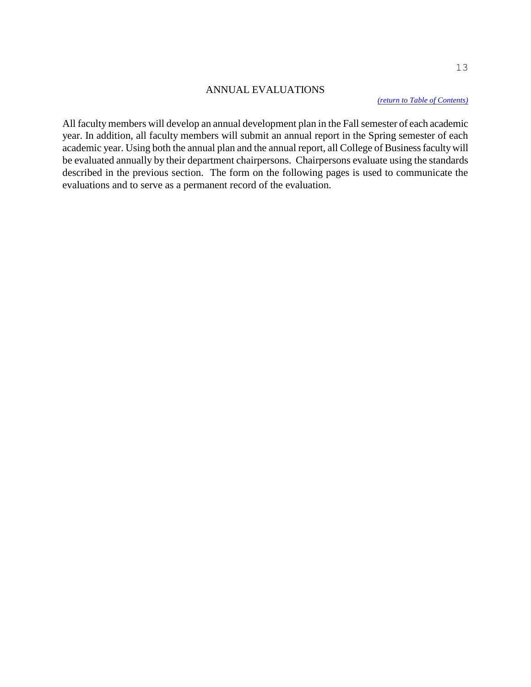#### <span id="page-13-0"></span>ANNUAL EVALUATIONS

*[\(return to Table of Contents\)](#page-1-0)*

All faculty members will develop an annual development plan in the Fall semester of each academic year. In addition, all faculty members will submit an annual report in the Spring semester of each academic year. Using both the annual plan and the annual report, all College of Business faculty will be evaluated annually by their department chairpersons. Chairpersons evaluate using the standards described in the previous section. The form on the following pages is used to communicate the evaluations and to serve as a permanent record of the evaluation.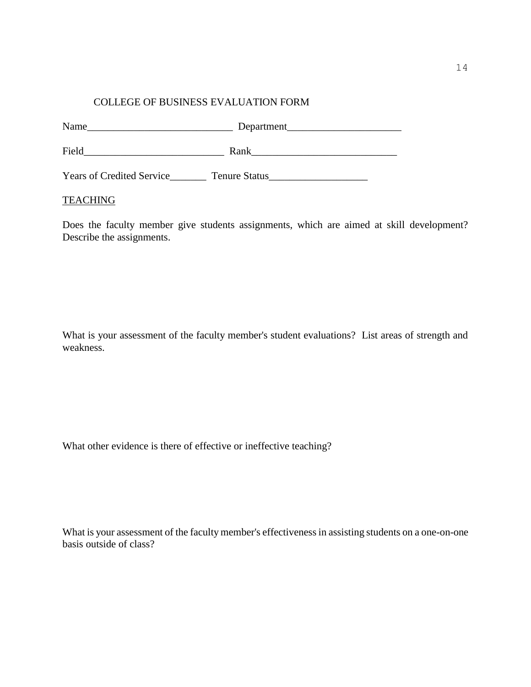#### COLLEGE OF BUSINESS EVALUATION FORM

| Name                             | Department           |
|----------------------------------|----------------------|
| Field                            | Rank                 |
| <b>Years of Credited Service</b> | <b>Tenure Status</b> |

#### **TEACHING**

Does the faculty member give students assignments, which are aimed at skill development? Describe the assignments.

What is your assessment of the faculty member's student evaluations? List areas of strength and weakness.

What other evidence is there of effective or ineffective teaching?

What is your assessment of the faculty member's effectiveness in assisting students on a one-on-one basis outside of class?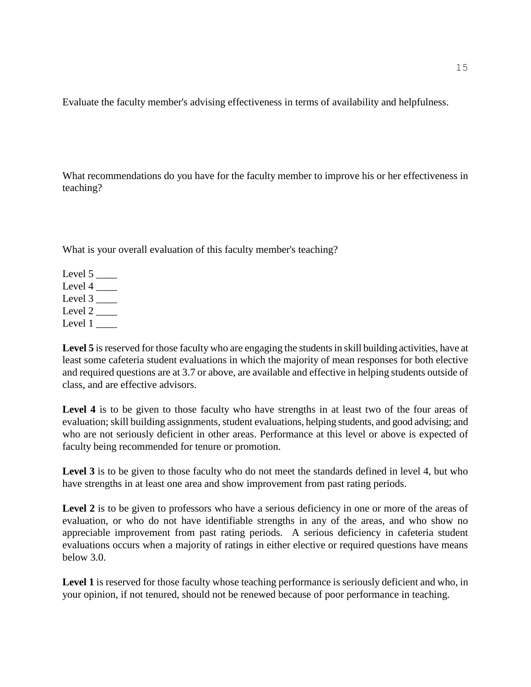Evaluate the faculty member's advising effectiveness in terms of availability and helpfulness.

What recommendations do you have for the faculty member to improve his or her effectiveness in teaching?

What is your overall evaluation of this faculty member's teaching?

Level  $5$   $\_\_$ Level  $4 \_$ Level  $3$   $\_\_\_\_\_\$ Level  $2 \_\_\_\_\$ Level 1

Level 5 is reserved for those faculty who are engaging the students in skill building activities, have at least some cafeteria student evaluations in which the majority of mean responses for both elective and required questions are at 3.7 or above, are available and effective in helping students outside of class, and are effective advisors.

Level 4 is to be given to those faculty who have strengths in at least two of the four areas of evaluation; skill building assignments, student evaluations, helping students, and good advising; and who are not seriously deficient in other areas. Performance at this level or above is expected of faculty being recommended for tenure or promotion.

Level 3 is to be given to those faculty who do not meet the standards defined in level 4, but who have strengths in at least one area and show improvement from past rating periods.

Level 2 is to be given to professors who have a serious deficiency in one or more of the areas of evaluation, or who do not have identifiable strengths in any of the areas, and who show no appreciable improvement from past rating periods. A serious deficiency in cafeteria student evaluations occurs when a majority of ratings in either elective or required questions have means below 3.0.

Level 1 is reserved for those faculty whose teaching performance is seriously deficient and who, in your opinion, if not tenured, should not be renewed because of poor performance in teaching.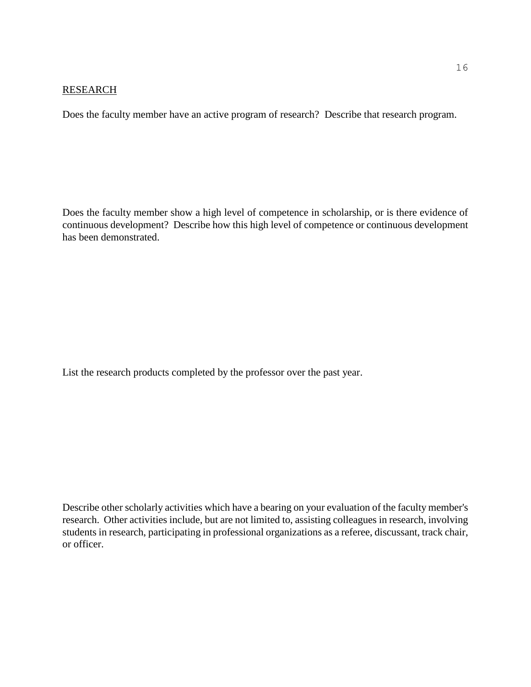#### RESEARCH

Does the faculty member have an active program of research? Describe that research program.

Does the faculty member show a high level of competence in scholarship, or is there evidence of continuous development? Describe how this high level of competence or continuous development has been demonstrated.

List the research products completed by the professor over the past year.

Describe other scholarly activities which have a bearing on your evaluation of the faculty member's research. Other activities include, but are not limited to, assisting colleagues in research, involving students in research, participating in professional organizations as a referee, discussant, track chair, or officer.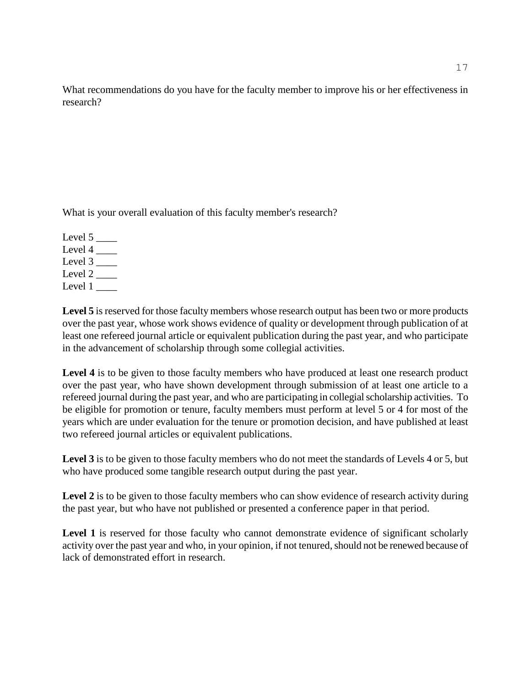What recommendations do you have for the faculty member to improve his or her effectiveness in research?

What is your overall evaluation of this faculty member's research?

Level  $5$   $\_\_$ Level  $4 \_\_\_\_\$ Level  $3$   $\_\_$ Level  $2 \_\_$ Level  $1$   $\qquad$ 

Level 5 is reserved for those faculty members whose research output has been two or more products over the past year, whose work shows evidence of quality or development through publication of at least one refereed journal article or equivalent publication during the past year, and who participate in the advancement of scholarship through some collegial activities.

**Level 4** is to be given to those faculty members who have produced at least one research product over the past year, who have shown development through submission of at least one article to a refereed journal during the past year, and who are participating in collegial scholarship activities. To be eligible for promotion or tenure, faculty members must perform at level 5 or 4 for most of the years which are under evaluation for the tenure or promotion decision, and have published at least two refereed journal articles or equivalent publications.

Level 3 is to be given to those faculty members who do not meet the standards of Levels 4 or 5, but who have produced some tangible research output during the past year.

Level 2 is to be given to those faculty members who can show evidence of research activity during the past year, but who have not published or presented a conference paper in that period.

Level 1 is reserved for those faculty who cannot demonstrate evidence of significant scholarly activity over the past year and who, in your opinion, if not tenured, should not be renewed because of lack of demonstrated effort in research.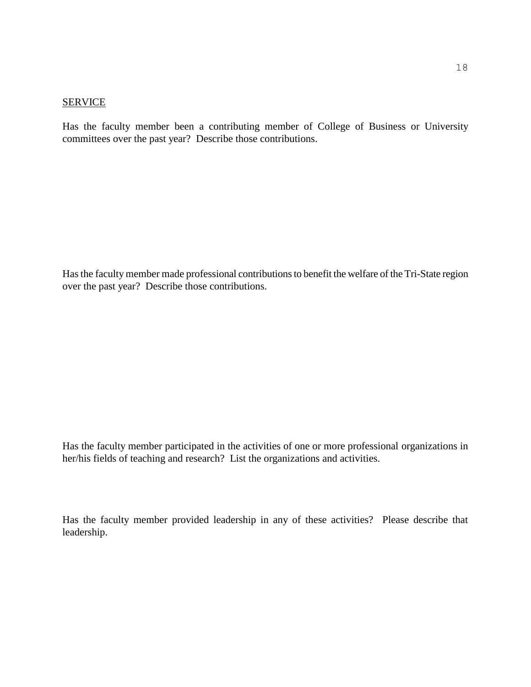#### **SERVICE**

Has the faculty member been a contributing member of College of Business or University committees over the past year? Describe those contributions.

Has the faculty member made professional contributions to benefit the welfare of the Tri-State region over the past year? Describe those contributions.

Has the faculty member participated in the activities of one or more professional organizations in her/his fields of teaching and research? List the organizations and activities.

Has the faculty member provided leadership in any of these activities? Please describe that leadership.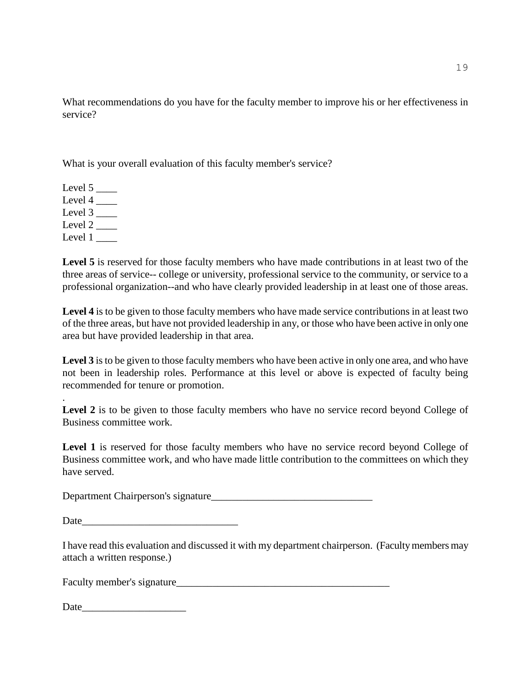What recommendations do you have for the faculty member to improve his or her effectiveness in service?

What is your overall evaluation of this faculty member's service?

Level  $5$   $\_\_\_\_\_\$ Level  $4 \_\_$ Level  $3$   $\_\_\_\_\_\$ Level 2 Level  $1 \_$ 

.

Level 5 is reserved for those faculty members who have made contributions in at least two of the three areas of service-- college or university, professional service to the community, or service to a professional organization--and who have clearly provided leadership in at least one of those areas.

**Level 4** is to be given to those faculty members who have made service contributions in at least two of the three areas, but have not provided leadership in any, or those who have been active in only one area but have provided leadership in that area.

Level 3 is to be given to those faculty members who have been active in only one area, and who have not been in leadership roles. Performance at this level or above is expected of faculty being recommended for tenure or promotion.

Level 2 is to be given to those faculty members who have no service record beyond College of Business committee work.

Level 1 is reserved for those faculty members who have no service record beyond College of Business committee work, and who have made little contribution to the committees on which they have served.

Department Chairperson's signature\_\_\_\_\_\_\_\_\_\_\_\_\_\_\_\_\_\_\_\_\_\_\_\_\_\_\_\_\_\_\_

Date

I have read this evaluation and discussed it with my department chairperson. (Faculty members may attach a written response.)

Faculty member's signature\_\_\_\_\_\_\_\_\_\_\_\_\_\_\_\_\_\_\_\_\_\_\_\_\_\_\_\_\_\_\_\_\_\_\_\_\_\_\_\_\_

| Date |
|------|
|------|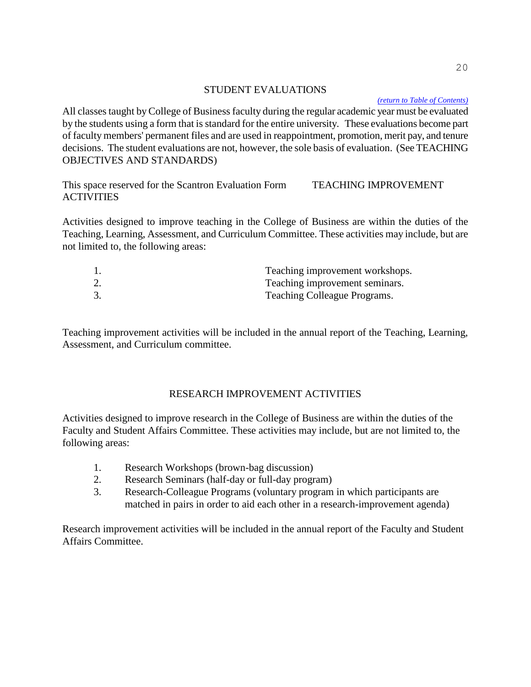#### <span id="page-20-0"></span>STUDENT EVALUATIONS

*[\(return to Table of Contents\)](#page-1-0)*

All classes taught by College of Business faculty during the regular academic year must be evaluated by the students using a form that is standard for the entire university. These evaluations become part of faculty members' permanent files and are used in reappointment, promotion, merit pay, and tenure decisions. The student evaluations are not, however, the sole basis of evaluation. (See TEACHING OBJECTIVES AND STANDARDS)

This space reserved for the Scantron Evaluation Form TEACHING IMPROVEMENT **ACTIVITIES** 

Activities designed to improve teaching in the College of Business are within the duties of the Teaching, Learning, Assessment, and Curriculum Committee. These activities may include, but are not limited to, the following areas:

|    | Teaching improvement workshops.     |
|----|-------------------------------------|
| 2. | Teaching improvement seminars.      |
|    | <b>Teaching Colleague Programs.</b> |

Teaching improvement activities will be included in the annual report of the Teaching, Learning, Assessment, and Curriculum committee.

# RESEARCH IMPROVEMENT ACTIVITIES

Activities designed to improve research in the College of Business are within the duties of the Faculty and Student Affairs Committee. These activities may include, but are not limited to, the following areas:

- 1. Research Workshops (brown-bag discussion)
- 2. Research Seminars (half-day or full-day program)
- 3. Research-Colleague Programs (voluntary program in which participants are matched in pairs in order to aid each other in a research-improvement agenda)

Research improvement activities will be included in the annual report of the Faculty and Student Affairs Committee.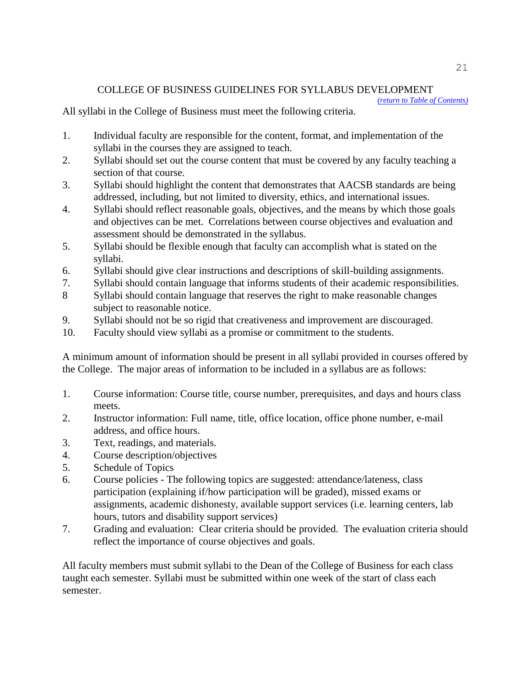# <span id="page-21-0"></span>COLLEGE OF BUSINESS GUIDELINES FOR SYLLABUS DEVELOPMENT

*[\(return to Table of Contents\)](#page-1-0)*

# All syllabi in the College of Business must meet the following criteria.

- 1. Individual faculty are responsible for the content, format, and implementation of the syllabi in the courses they are assigned to teach.
- 2. Syllabi should set out the course content that must be covered by any faculty teaching a section of that course.
- 3. Syllabi should highlight the content that demonstrates that AACSB standards are being addressed, including, but not limited to diversity, ethics, and international issues.
- 4. Syllabi should reflect reasonable goals, objectives, and the means by which those goals and objectives can be met. Correlations between course objectives and evaluation and assessment should be demonstrated in the syllabus.
- 5. Syllabi should be flexible enough that faculty can accomplish what is stated on the syllabi.
- 6. Syllabi should give clear instructions and descriptions of skill-building assignments.
- 7. Syllabi should contain language that informs students of their academic responsibilities.
- 8 Syllabi should contain language that reserves the right to make reasonable changes subject to reasonable notice.
- 9. Syllabi should not be so rigid that creativeness and improvement are discouraged.
- 10. Faculty should view syllabi as a promise or commitment to the students.

A minimum amount of information should be present in all syllabi provided in courses offered by the College. The major areas of information to be included in a syllabus are as follows:

- 1. Course information: Course title, course number, prerequisites, and days and hours class meets.
- 2. Instructor information: Full name, title, office location, office phone number, e-mail address, and office hours.
- 3. Text, readings, and materials.
- 4. Course description/objectives
- 5. Schedule of Topics
- 6. Course policies The following topics are suggested: attendance/lateness, class participation (explaining if/how participation will be graded), missed exams or assignments, academic dishonesty, available support services (i.e. learning centers, lab hours, tutors and disability support services)
- 7. Grading and evaluation: Clear criteria should be provided. The evaluation criteria should reflect the importance of course objectives and goals.

All faculty members must submit syllabi to the Dean of the College of Business for each class taught each semester. Syllabi must be submitted within one week of the start of class each semester.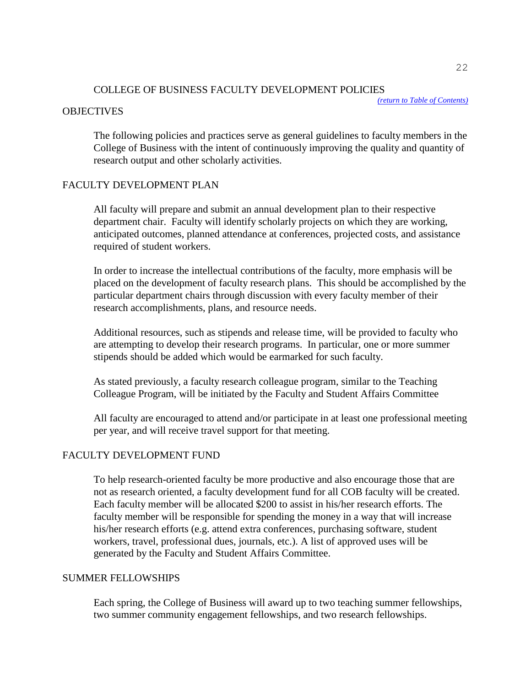#### <span id="page-22-0"></span>COLLEGE OF BUSINESS FACULTY DEVELOPMENT POLICIES

*[\(return to Table of Contents\)](#page-1-0)*

#### **OBJECTIVES**

The following policies and practices serve as general guidelines to faculty members in the College of Business with the intent of continuously improving the quality and quantity of research output and other scholarly activities.

#### FACULTY DEVELOPMENT PLAN

All faculty will prepare and submit an annual development plan to their respective department chair. Faculty will identify scholarly projects on which they are working, anticipated outcomes, planned attendance at conferences, projected costs, and assistance required of student workers.

In order to increase the intellectual contributions of the faculty, more emphasis will be placed on the development of faculty research plans. This should be accomplished by the particular department chairs through discussion with every faculty member of their research accomplishments, plans, and resource needs.

Additional resources, such as stipends and release time, will be provided to faculty who are attempting to develop their research programs. In particular, one or more summer stipends should be added which would be earmarked for such faculty.

As stated previously, a faculty research colleague program, similar to the Teaching Colleague Program, will be initiated by the Faculty and Student Affairs Committee

All faculty are encouraged to attend and/or participate in at least one professional meeting per year, and will receive travel support for that meeting.

#### FACULTY DEVELOPMENT FUND

To help research-oriented faculty be more productive and also encourage those that are not as research oriented, a faculty development fund for all COB faculty will be created. Each faculty member will be allocated \$200 to assist in his/her research efforts. The faculty member will be responsible for spending the money in a way that will increase his/her research efforts (e.g. attend extra conferences, purchasing software, student workers, travel, professional dues, journals, etc.). A list of approved uses will be generated by the Faculty and Student Affairs Committee.

#### SUMMER FELLOWSHIPS

Each spring, the College of Business will award up to two teaching summer fellowships, two summer community engagement fellowships, and two research fellowships.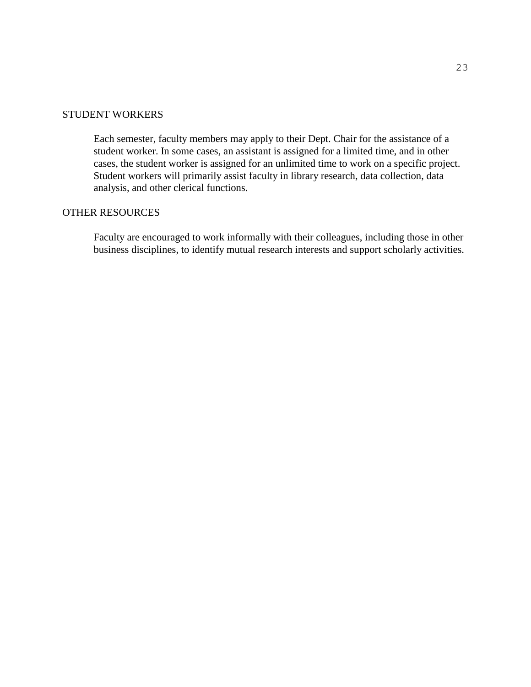#### STUDENT WORKERS

Each semester, faculty members may apply to their Dept. Chair for the assistance of a student worker. In some cases, an assistant is assigned for a limited time, and in other cases, the student worker is assigned for an unlimited time to work on a specific project. Student workers will primarily assist faculty in library research, data collection, data analysis, and other clerical functions.

#### OTHER RESOURCES

Faculty are encouraged to work informally with their colleagues, including those in other business disciplines, to identify mutual research interests and support scholarly activities.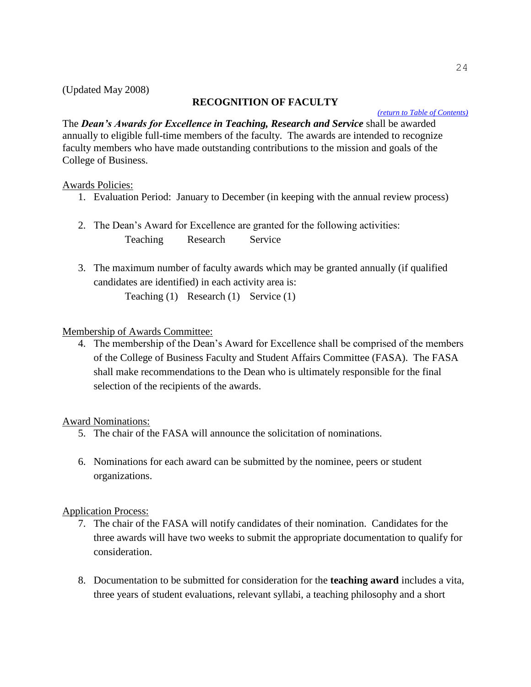# **RECOGNITION OF FACULTY**

#### *[\(return to Table of Contents\)](#page-1-0)*

<span id="page-24-0"></span>The *Dean's Awards for Excellence in Teaching, Research and Service* shall be awarded annually to eligible full-time members of the faculty. The awards are intended to recognize faculty members who have made outstanding contributions to the mission and goals of the College of Business.

# Awards Policies:

- 1. Evaluation Period: January to December (in keeping with the annual review process)
- 2. The Dean's Award for Excellence are granted for the following activities: Teaching Research Service
- 3. The maximum number of faculty awards which may be granted annually (if qualified candidates are identified) in each activity area is: Teaching (1) Research (1) Service (1)

# Membership of Awards Committee:

4. The membership of the Dean's Award for Excellence shall be comprised of the members of the College of Business Faculty and Student Affairs Committee (FASA). The FASA shall make recommendations to the Dean who is ultimately responsible for the final selection of the recipients of the awards.

# Award Nominations:

- 5. The chair of the FASA will announce the solicitation of nominations.
- 6. Nominations for each award can be submitted by the nominee, peers or student organizations.

# Application Process:

- 7. The chair of the FASA will notify candidates of their nomination. Candidates for the three awards will have two weeks to submit the appropriate documentation to qualify for consideration.
- 8. Documentation to be submitted for consideration for the **teaching award** includes a vita, three years of student evaluations, relevant syllabi, a teaching philosophy and a short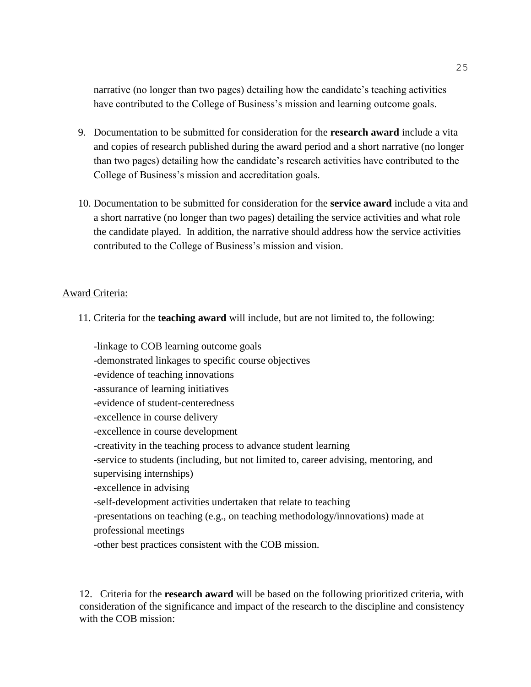narrative (no longer than two pages) detailing how the candidate's teaching activities have contributed to the College of Business's mission and learning outcome goals.

- 9. Documentation to be submitted for consideration for the **research award** include a vita and copies of research published during the award period and a short narrative (no longer than two pages) detailing how the candidate's research activities have contributed to the College of Business's mission and accreditation goals.
- 10. Documentation to be submitted for consideration for the **service award** include a vita and a short narrative (no longer than two pages) detailing the service activities and what role the candidate played. In addition, the narrative should address how the service activities contributed to the College of Business's mission and vision.

#### Award Criteria:

11. Criteria for the **teaching award** will include, but are not limited to, the following:

-linkage to COB learning outcome goals -demonstrated linkages to specific course objectives -evidence of teaching innovations -assurance of learning initiatives -evidence of student-centeredness -excellence in course delivery -excellence in course development -creativity in the teaching process to advance student learning -service to students (including, but not limited to, career advising, mentoring, and supervising internships) -excellence in advising -self-development activities undertaken that relate to teaching -presentations on teaching (e.g., on teaching methodology/innovations) made at professional meetings -other best practices consistent with the COB mission.

12. Criteria for the **research award** will be based on the following prioritized criteria, with consideration of the significance and impact of the research to the discipline and consistency with the COB mission: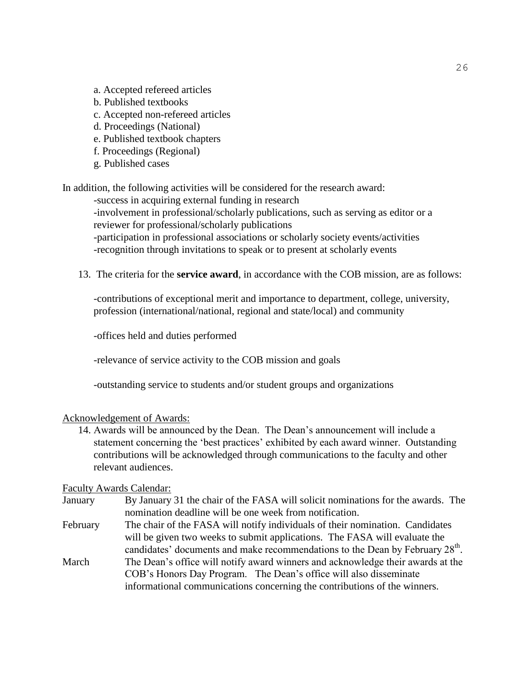- a. Accepted refereed articles
- b. Published textbooks
- c. Accepted non-refereed articles
- d. Proceedings (National)
- e. Published textbook chapters
- f. Proceedings (Regional)
- g. Published cases

In addition, the following activities will be considered for the research award:

-success in acquiring external funding in research

-involvement in professional/scholarly publications, such as serving as editor or a reviewer for professional/scholarly publications

-participation in professional associations or scholarly society events/activities -recognition through invitations to speak or to present at scholarly events

13. The criteria for the **service award**, in accordance with the COB mission, are as follows:

-contributions of exceptional merit and importance to department, college, university, profession (international/national, regional and state/local) and community

-offices held and duties performed

-relevance of service activity to the COB mission and goals

-outstanding service to students and/or student groups and organizations

#### Acknowledgement of Awards:

14. Awards will be announced by the Dean. The Dean's announcement will include a statement concerning the 'best practices' exhibited by each award winner. Outstanding contributions will be acknowledged through communications to the faculty and other relevant audiences.

#### Faculty Awards Calendar:

- January By January 31 the chair of the FASA will solicit nominations for the awards. The nomination deadline will be one week from notification.
- February The chair of the FASA will notify individuals of their nomination. Candidates will be given two weeks to submit applications. The FASA will evaluate the candidates' documents and make recommendations to the Dean by February  $28<sup>th</sup>$ .
- March The Dean's office will notify award winners and acknowledge their awards at the COB's Honors Day Program. The Dean's office will also disseminate informational communications concerning the contributions of the winners.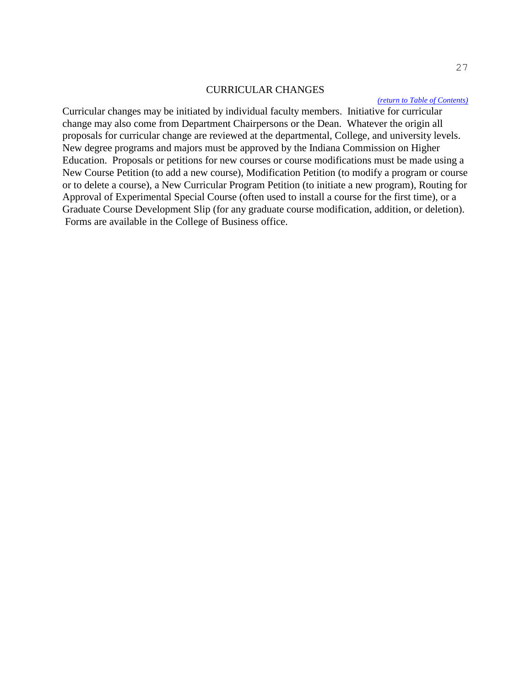#### <span id="page-27-0"></span>CURRICULAR CHANGES

#### *[\(return to Table of Contents\)](#page-1-0)*

Curricular changes may be initiated by individual faculty members. Initiative for curricular change may also come from Department Chairpersons or the Dean. Whatever the origin all proposals for curricular change are reviewed at the departmental, College, and university levels. New degree programs and majors must be approved by the Indiana Commission on Higher Education. Proposals or petitions for new courses or course modifications must be made using a New Course Petition (to add a new course), Modification Petition (to modify a program or course or to delete a course), a New Curricular Program Petition (to initiate a new program), Routing for Approval of Experimental Special Course (often used to install a course for the first time), or a Graduate Course Development Slip (for any graduate course modification, addition, or deletion). Forms are available in the College of Business office.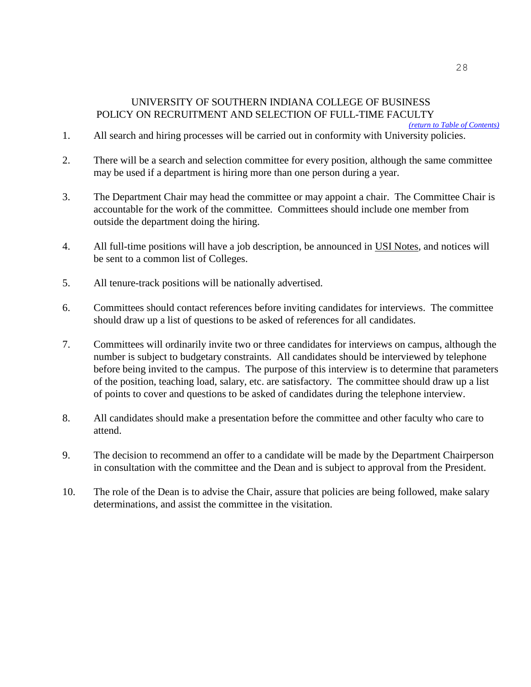# UNIVERSITY OF SOUTHERN INDIANA COLLEGE OF BUSINESS POLICY ON RECRUITMENT AND SELECTION OF FULL-TIME FACULTY

*[\(return to Table of Contents\)](#page-1-0)*

- <span id="page-28-0"></span>1. All search and hiring processes will be carried out in conformity with University policies.
- 2. There will be a search and selection committee for every position, although the same committee may be used if a department is hiring more than one person during a year.
- 3. The Department Chair may head the committee or may appoint a chair. The Committee Chair is accountable for the work of the committee. Committees should include one member from outside the department doing the hiring.
- 4. All full-time positions will have a job description, be announced in USI Notes, and notices will be sent to a common list of Colleges.
- 5. All tenure-track positions will be nationally advertised.
- 6. Committees should contact references before inviting candidates for interviews. The committee should draw up a list of questions to be asked of references for all candidates.
- 7. Committees will ordinarily invite two or three candidates for interviews on campus, although the number is subject to budgetary constraints. All candidates should be interviewed by telephone before being invited to the campus. The purpose of this interview is to determine that parameters of the position, teaching load, salary, etc. are satisfactory. The committee should draw up a list of points to cover and questions to be asked of candidates during the telephone interview.
- 8. All candidates should make a presentation before the committee and other faculty who care to attend.
- 9. The decision to recommend an offer to a candidate will be made by the Department Chairperson in consultation with the committee and the Dean and is subject to approval from the President.
- 10. The role of the Dean is to advise the Chair, assure that policies are being followed, make salary determinations, and assist the committee in the visitation.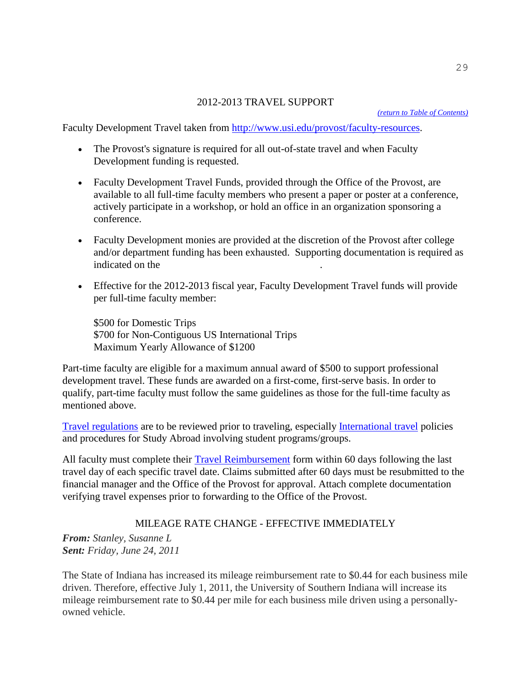#### <span id="page-29-0"></span>2012-2013 TRAVEL SUPPORT

Faculty Development Travel taken from [http://www.usi.edu/provost/faculty-resources.](http://www.usi.edu/provost/faculty-resources)

- The Provost's signature is required for all out-of-state travel and when Faculty Development funding is requested.
- Faculty Development Travel Funds, provided through the Office of the Provost, are available to all full-time faculty members who present a paper or poster at a conference, actively participate in a workshop, or hold an office in an organization sponsoring a conference.
- Faculty Development monies are provided at the discretion of the Provost after college and/or department funding has been exhausted. Supporting documentation is required as indicated on the
- Effective for the 2012-2013 fiscal year, Faculty Development Travel funds will provide per full-time faculty member:

\$500 for Domestic Trips \$700 for Non-Contiguous US International Trips Maximum Yearly Allowance of \$1200

Part-time faculty are eligible for a maximum annual award of \$500 to support professional development travel. These funds are awarded on a first-come, first-serve basis. In order to qualify, part-time faculty must follow the same guidelines as those for the full-time faculty as mentioned above.

[Travel regulations](http://www.usi.edu/busoff/travel/authoriz.asp) are to be reviewed prior to traveling, especially [International travel](http://www.usi.edu/ips/faculty.asp) policies and procedures for Study Abroad involving student programs/groups.

All faculty must complete their [Travel Reimbursement](http://www.usi.edu/busoff/travel/forms.asp) form within 60 days following the last travel day of each specific travel date. Claims submitted after 60 days must be resubmitted to the financial manager and the Office of the Provost for approval. Attach complete documentation verifying travel expenses prior to forwarding to the Office of the Provost.

# MILEAGE RATE CHANGE - EFFECTIVE IMMEDIATELY

*From: Stanley, Susanne L Sent: Friday, June 24, 2011*

The State of Indiana has increased its mileage reimbursement rate to \$0.44 for each business mile driven. Therefore, effective July 1, 2011, the University of Southern Indiana will increase its mileage reimbursement rate to \$0.44 per mile for each business mile driven using a personallyowned vehicle.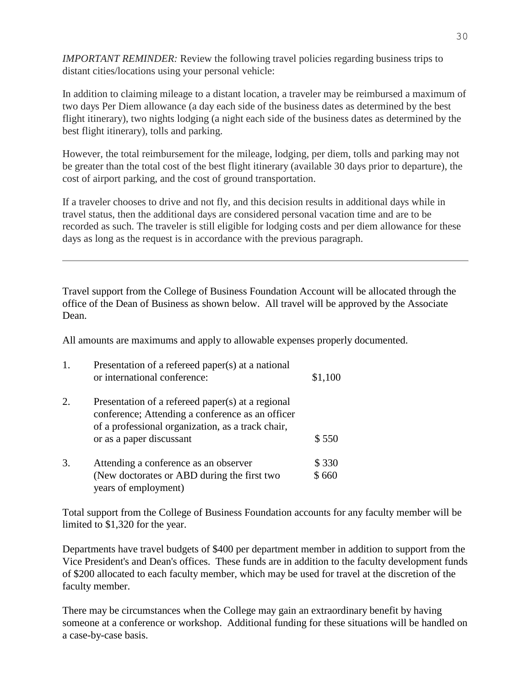*IMPORTANT REMINDER:* Review the following travel policies regarding business trips to distant cities/locations using your personal vehicle:

In addition to claiming mileage to a distant location, a traveler may be reimbursed a maximum of two days Per Diem allowance (a day each side of the business dates as determined by the best flight itinerary), two nights lodging (a night each side of the business dates as determined by the best flight itinerary), tolls and parking.

However, the total reimbursement for the mileage, lodging, per diem, tolls and parking may not be greater than the total cost of the best flight itinerary (available 30 days prior to departure), the cost of airport parking, and the cost of ground transportation.

If a traveler chooses to drive and not fly, and this decision results in additional days while in travel status, then the additional days are considered personal vacation time and are to be recorded as such. The traveler is still eligible for lodging costs and per diem allowance for these days as long as the request is in accordance with the previous paragraph.

Travel support from the College of Business Foundation Account will be allocated through the office of the Dean of Business as shown below. All travel will be approved by the Associate Dean.

All amounts are maximums and apply to allowable expenses properly documented.

| 1. | Presentation of a refereed paper(s) at a national<br>or international conference:                                                                                                      | \$1,100 |
|----|----------------------------------------------------------------------------------------------------------------------------------------------------------------------------------------|---------|
| 2. | Presentation of a refereed paper(s) at a regional<br>conference; Attending a conference as an officer<br>of a professional organization, as a track chair,<br>or as a paper discussant | \$550   |
| 3. | Attending a conference as an observer                                                                                                                                                  | \$330   |
|    | (New doctorates or ABD during the first two                                                                                                                                            | \$660   |
|    | years of employment)                                                                                                                                                                   |         |

Total support from the College of Business Foundation accounts for any faculty member will be limited to \$1,320 for the year.

Departments have travel budgets of \$400 per department member in addition to support from the Vice President's and Dean's offices. These funds are in addition to the faculty development funds of \$200 allocated to each faculty member, which may be used for travel at the discretion of the faculty member.

There may be circumstances when the College may gain an extraordinary benefit by having someone at a conference or workshop. Additional funding for these situations will be handled on a case-by-case basis.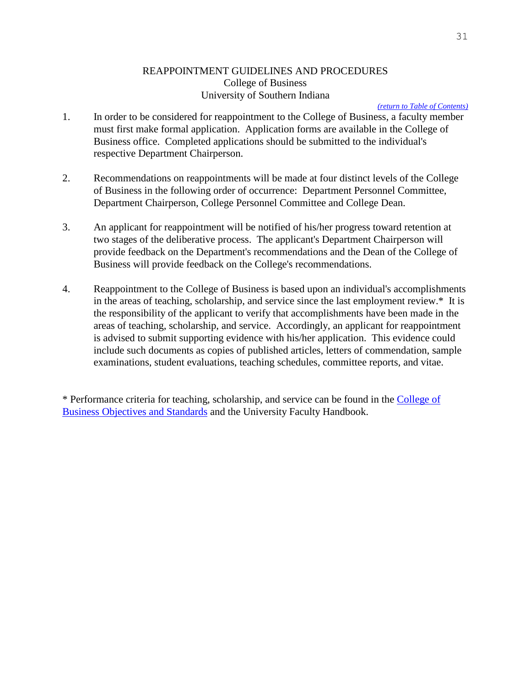# <span id="page-31-0"></span>REAPPOINTMENT GUIDELINES AND PROCEDURES College of Business University of Southern Indiana

#### *[\(return to Table of Contents\)](#page-1-0)*

- 1. In order to be considered for reappointment to the College of Business, a faculty member must first make formal application. Application forms are available in the College of Business office. Completed applications should be submitted to the individual's respective Department Chairperson.
- 2. Recommendations on reappointments will be made at four distinct levels of the College of Business in the following order of occurrence: Department Personnel Committee, Department Chairperson, College Personnel Committee and College Dean.
- 3. An applicant for reappointment will be notified of his/her progress toward retention at two stages of the deliberative process. The applicant's Department Chairperson will provide feedback on the Department's recommendations and the Dean of the College of Business will provide feedback on the College's recommendations.
- 4. Reappointment to the College of Business is based upon an individual's accomplishments in the areas of teaching, scholarship, and service since the last employment review.\* It is the responsibility of the applicant to verify that accomplishments have been made in the areas of teaching, scholarship, and service. Accordingly, an applicant for reappointment is advised to submit supporting evidence with his/her application. This evidence could include such documents as copies of published articles, letters of commendation, sample examinations, student evaluations, teaching schedules, committee reports, and vitae.

\* Performance criteria for teaching, scholarship, and service can be found in the [College](#page-7-0) of [Business Objectives and Standards](#page-7-0) and the University Faculty Handbook.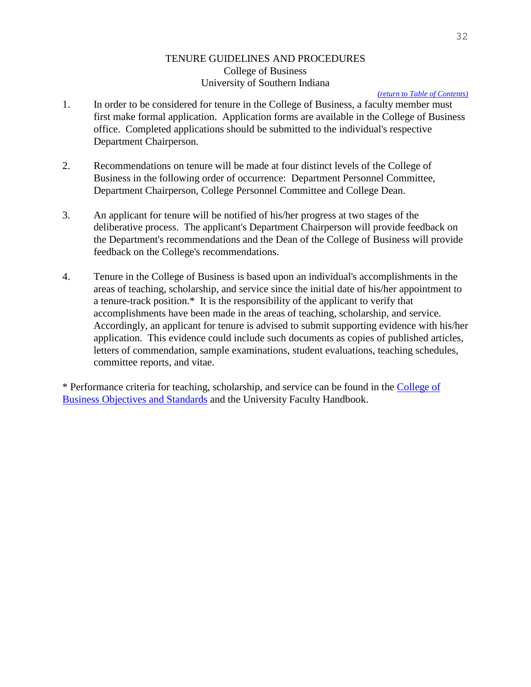#### <span id="page-32-0"></span>TENURE GUIDELINES AND PROCEDURES College of Business University of Southern Indiana

#### *[\(return to Table of Contents\)](#page-1-0)*

- 1. In order to be considered for tenure in the College of Business, a faculty member must first make formal application. Application forms are available in the College of Business office. Completed applications should be submitted to the individual's respective Department Chairperson.
- 2. Recommendations on tenure will be made at four distinct levels of the College of Business in the following order of occurrence: Department Personnel Committee, Department Chairperson, College Personnel Committee and College Dean.
- 3. An applicant for tenure will be notified of his/her progress at two stages of the deliberative process. The applicant's Department Chairperson will provide feedback on the Department's recommendations and the Dean of the College of Business will provide feedback on the College's recommendations.
- 4. Tenure in the College of Business is based upon an individual's accomplishments in the areas of teaching, scholarship, and service since the initial date of his/her appointment to a tenure-track position.\* It is the responsibility of the applicant to verify that accomplishments have been made in the areas of teaching, scholarship, and service. Accordingly, an applicant for tenure is advised to submit supporting evidence with his/her application. This evidence could include such documents as copies of published articles, letters of commendation, sample examinations, student evaluations, teaching schedules, committee reports, and vitae.

\* Performance criteria for teaching, scholarship, and service can be found in the [College of](#page-7-0)  [Business Objectives and Standards](#page-7-0) and the University Faculty Handbook.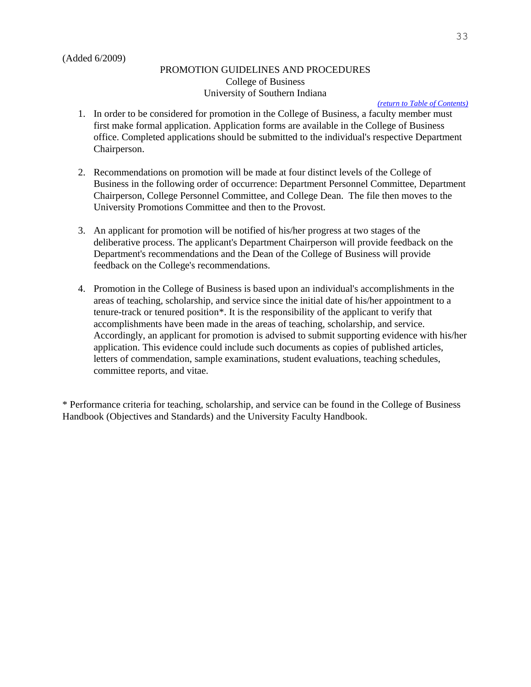#### PROMOTION GUIDELINES AND PROCEDURES College of Business University of Southern Indiana

#### *[\(return to Table of Contents\)](#page-1-0)*

- <span id="page-33-0"></span>1. In order to be considered for promotion in the College of Business, a faculty member must first make formal application. Application forms are available in the College of Business office. Completed applications should be submitted to the individual's respective Department Chairperson.
- 2. Recommendations on promotion will be made at four distinct levels of the College of Business in the following order of occurrence: Department Personnel Committee, Department Chairperson, College Personnel Committee, and College Dean. The file then moves to the University Promotions Committee and then to the Provost.
- 3. An applicant for promotion will be notified of his/her progress at two stages of the deliberative process. The applicant's Department Chairperson will provide feedback on the Department's recommendations and the Dean of the College of Business will provide feedback on the College's recommendations.
- 4. Promotion in the College of Business is based upon an individual's accomplishments in the areas of teaching, scholarship, and service since the initial date of his/her appointment to a tenure-track or tenured position\*. It is the responsibility of the applicant to verify that accomplishments have been made in the areas of teaching, scholarship, and service. Accordingly, an applicant for promotion is advised to submit supporting evidence with his/her application. This evidence could include such documents as copies of published articles, letters of commendation, sample examinations, student evaluations, teaching schedules, committee reports, and vitae.

\* Performance criteria for teaching, scholarship, and service can be found in the College of Business Handbook (Objectives and Standards) and the University Faculty Handbook.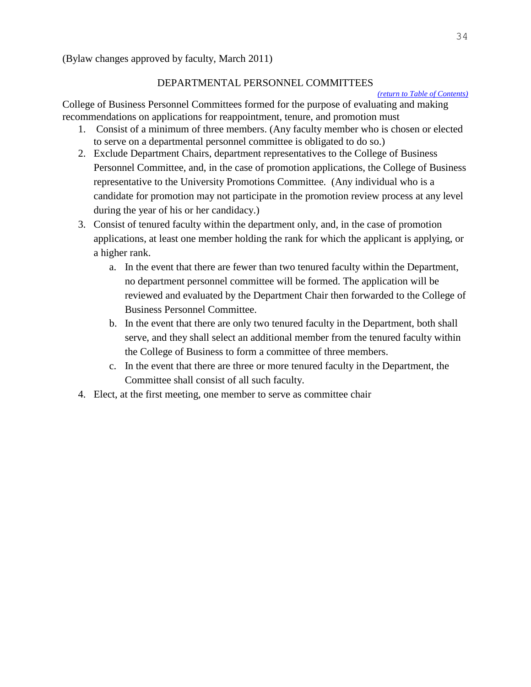(Bylaw changes approved by faculty, March 2011)

#### <span id="page-34-0"></span>DEPARTMENTAL PERSONNEL COMMITTEES

#### *[\(return to Table of Contents\)](#page-1-0)*

College of Business Personnel Committees formed for the purpose of evaluating and making recommendations on applications for reappointment, tenure, and promotion must

- 1. Consist of a minimum of three members. (Any faculty member who is chosen or elected to serve on a departmental personnel committee is obligated to do so.)
- 2. Exclude Department Chairs, department representatives to the College of Business Personnel Committee, and, in the case of promotion applications, the College of Business representative to the University Promotions Committee. (Any individual who is a candidate for promotion may not participate in the promotion review process at any level during the year of his or her candidacy.)
- 3. Consist of tenured faculty within the department only, and, in the case of promotion applications, at least one member holding the rank for which the applicant is applying, or a higher rank.
	- a. In the event that there are fewer than two tenured faculty within the Department, no department personnel committee will be formed. The application will be reviewed and evaluated by the Department Chair then forwarded to the College of Business Personnel Committee.
	- b. In the event that there are only two tenured faculty in the Department, both shall serve, and they shall select an additional member from the tenured faculty within the College of Business to form a committee of three members.
	- c. In the event that there are three or more tenured faculty in the Department, the Committee shall consist of all such faculty.
- 4. Elect, at the first meeting, one member to serve as committee chair